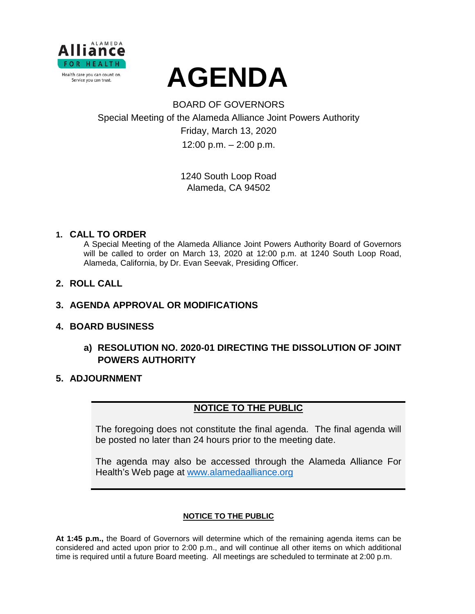

# **AGENDA**

BOARD OF GOVERNORS Special Meeting of the Alameda Alliance Joint Powers Authority Friday, March 13, 2020 12:00 p.m. – 2:00 p.m.

> 1240 South Loop Road Alameda, CA 94502

### **1. CALL TO ORDER**

A Special Meeting of the Alameda Alliance Joint Powers Authority Board of Governors will be called to order on March 13, 2020 at 12:00 p.m. at 1240 South Loop Road, Alameda, California, by Dr. Evan Seevak, Presiding Officer.

## **2. ROLL CALL**

#### **3. AGENDA APPROVAL OR MODIFICATIONS**

#### **4. BOARD BUSINESS**

**a) RESOLUTION NO. 2020-01 DIRECTING THE DISSOLUTION OF JOINT POWERS AUTHORITY** 

#### **5. ADJOURNMENT**

## **NOTICE TO THE PUBLIC**

The foregoing does not constitute the final agenda. The final agenda will be posted no later than 24 hours prior to the meeting date.

The agenda may also be accessed through the Alameda Alliance For Health's Web page at [www.alamedaalliance.org](http://www.alamedaalliance.org/)

#### **NOTICE TO THE PUBLIC**

**At 1:45 p.m.,** the Board of Governors will determine which of the remaining agenda items can be considered and acted upon prior to 2:00 p.m., and will continue all other items on which additional time is required until a future Board meeting. All meetings are scheduled to terminate at 2:00 p.m.